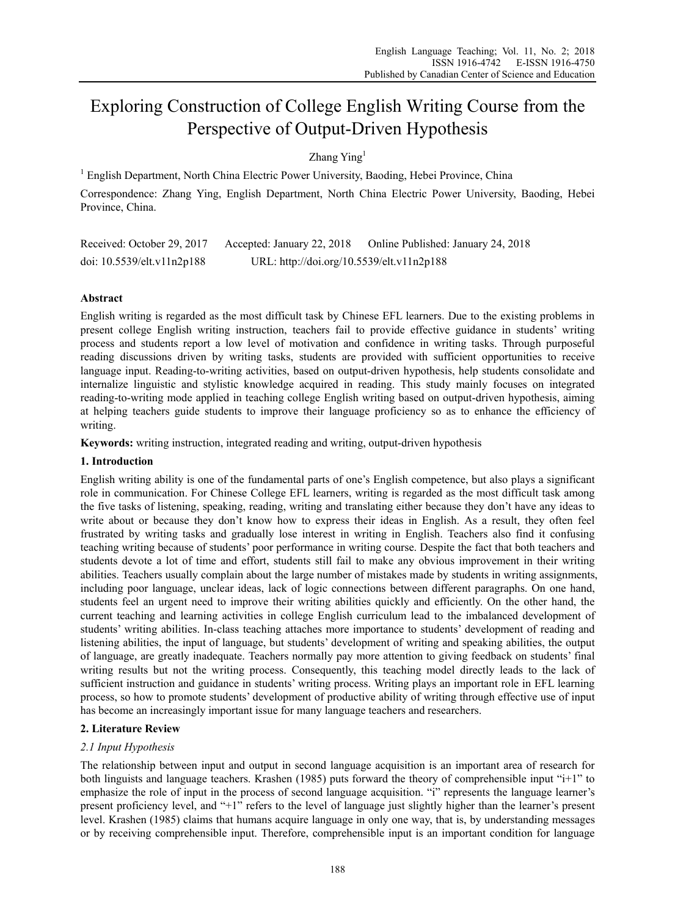# Exploring Construction of College English Writing Course from the Perspective of Output-Driven Hypothesis

Zhang Ying<sup>1</sup>

<sup>1</sup> English Department, North China Electric Power University, Baoding, Hebei Province, China Correspondence: Zhang Ying, English Department, North China Electric Power University, Baoding, Hebei Province, China.

| Received: October 29, 2017       | Accepted: January 22, 2018                | Online Published: January 24, 2018 |
|----------------------------------|-------------------------------------------|------------------------------------|
| doi: $10.5539$ /elt.v $11n2p188$ | URL: http://doi.org/10.5539/elt.v11n2p188 |                                    |

# **Abstract**

English writing is regarded as the most difficult task by Chinese EFL learners. Due to the existing problems in present college English writing instruction, teachers fail to provide effective guidance in students' writing process and students report a low level of motivation and confidence in writing tasks. Through purposeful reading discussions driven by writing tasks, students are provided with sufficient opportunities to receive language input. Reading-to-writing activities, based on output-driven hypothesis, help students consolidate and internalize linguistic and stylistic knowledge acquired in reading. This study mainly focuses on integrated reading-to-writing mode applied in teaching college English writing based on output-driven hypothesis, aiming at helping teachers guide students to improve their language proficiency so as to enhance the efficiency of writing.

**Keywords:** writing instruction, integrated reading and writing, output-driven hypothesis

# **1. Introduction**

English writing ability is one of the fundamental parts of one's English competence, but also plays a significant role in communication. For Chinese College EFL learners, writing is regarded as the most difficult task among the five tasks of listening, speaking, reading, writing and translating either because they don't have any ideas to write about or because they don't know how to express their ideas in English. As a result, they often feel frustrated by writing tasks and gradually lose interest in writing in English. Teachers also find it confusing teaching writing because of students' poor performance in writing course. Despite the fact that both teachers and students devote a lot of time and effort, students still fail to make any obvious improvement in their writing abilities. Teachers usually complain about the large number of mistakes made by students in writing assignments, including poor language, unclear ideas, lack of logic connections between different paragraphs. On one hand, students feel an urgent need to improve their writing abilities quickly and efficiently. On the other hand, the current teaching and learning activities in college English curriculum lead to the imbalanced development of students' writing abilities. In-class teaching attaches more importance to students' development of reading and listening abilities, the input of language, but students' development of writing and speaking abilities, the output of language, are greatly inadequate. Teachers normally pay more attention to giving feedback on students' final writing results but not the writing process. Consequently, this teaching model directly leads to the lack of sufficient instruction and guidance in students' writing process. Writing plays an important role in EFL learning process, so how to promote students' development of productive ability of writing through effective use of input has become an increasingly important issue for many language teachers and researchers.

# **2. Literature Review**

### *2.1 Input Hypothesis*

The relationship between input and output in second language acquisition is an important area of research for both linguists and language teachers. Krashen (1985) puts forward the theory of comprehensible input "i+1" to emphasize the role of input in the process of second language acquisition. "i" represents the language learner's present proficiency level, and "+1" refers to the level of language just slightly higher than the learner's present level. Krashen (1985) claims that humans acquire language in only one way, that is, by understanding messages or by receiving comprehensible input. Therefore, comprehensible input is an important condition for language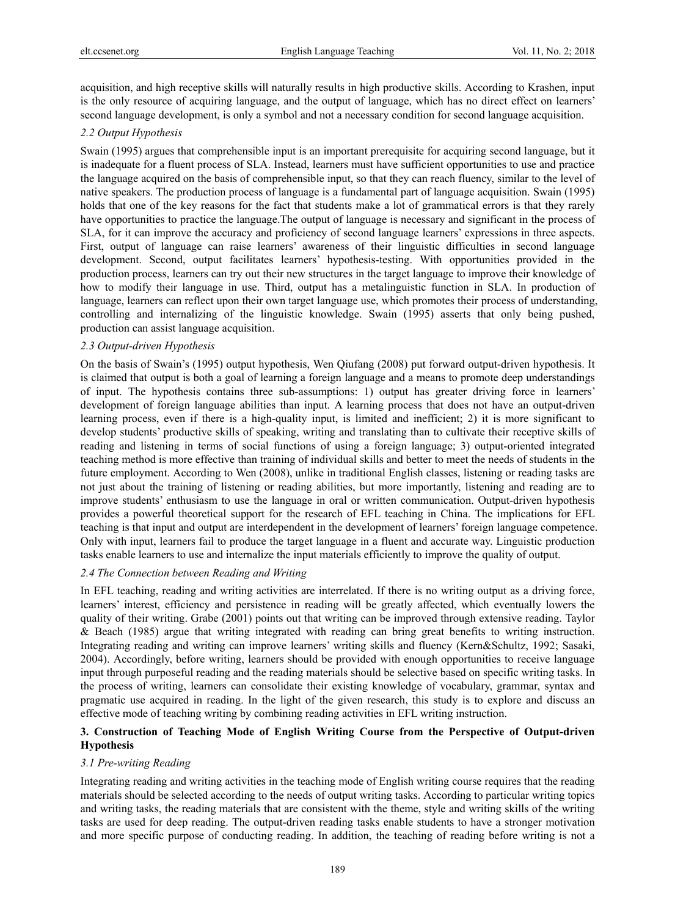acquisition, and high receptive skills will naturally results in high productive skills. According to Krashen, input is the only resource of acquiring language, and the output of language, which has no direct effect on learners' second language development, is only a symbol and not a necessary condition for second language acquisition.

# *2.2 Output Hypothesis*

Swain (1995) argues that comprehensible input is an important prerequisite for acquiring second language, but it is inadequate for a fluent process of SLA. Instead, learners must have sufficient opportunities to use and practice the language acquired on the basis of comprehensible input, so that they can reach fluency, similar to the level of native speakers. The production process of language is a fundamental part of language acquisition. Swain (1995) holds that one of the key reasons for the fact that students make a lot of grammatical errors is that they rarely have opportunities to practice the language.The output of language is necessary and significant in the process of SLA, for it can improve the accuracy and proficiency of second language learners' expressions in three aspects. First, output of language can raise learners' awareness of their linguistic difficulties in second language development. Second, output facilitates learners' hypothesis-testing. With opportunities provided in the production process, learners can try out their new structures in the target language to improve their knowledge of how to modify their language in use. Third, output has a metalinguistic function in SLA. In production of language, learners can reflect upon their own target language use, which promotes their process of understanding, controlling and internalizing of the linguistic knowledge. Swain (1995) asserts that only being pushed, production can assist language acquisition.

# *2.3 Output-driven Hypothesis*

On the basis of Swain's (1995) output hypothesis, Wen Qiufang (2008) put forward output-driven hypothesis. It is claimed that output is both a goal of learning a foreign language and a means to promote deep understandings of input. The hypothesis contains three sub-assumptions: 1) output has greater driving force in learners' development of foreign language abilities than input. A learning process that does not have an output-driven learning process, even if there is a high-quality input, is limited and inefficient; 2) it is more significant to develop students' productive skills of speaking, writing and translating than to cultivate their receptive skills of reading and listening in terms of social functions of using a foreign language; 3) output-oriented integrated teaching method is more effective than training of individual skills and better to meet the needs of students in the future employment. According to Wen (2008), unlike in traditional English classes, listening or reading tasks are not just about the training of listening or reading abilities, but more importantly, listening and reading are to improve students' enthusiasm to use the language in oral or written communication. Output-driven hypothesis provides a powerful theoretical support for the research of EFL teaching in China. The implications for EFL teaching is that input and output are interdependent in the development of learners' foreign language competence. Only with input, learners fail to produce the target language in a fluent and accurate way. Linguistic production tasks enable learners to use and internalize the input materials efficiently to improve the quality of output.

# *2.4 The Connection between Reading and Writing*

In EFL teaching, reading and writing activities are interrelated. If there is no writing output as a driving force, learners' interest, efficiency and persistence in reading will be greatly affected, which eventually lowers the quality of their writing. Grabe (2001) points out that writing can be improved through extensive reading. Taylor & Beach (1985) argue that writing integrated with reading can bring great benefits to writing instruction. Integrating reading and writing can improve learners' writing skills and fluency (Kern&Schultz, 1992; Sasaki, 2004). Accordingly, before writing, learners should be provided with enough opportunities to receive language input through purposeful reading and the reading materials should be selective based on specific writing tasks. In the process of writing, learners can consolidate their existing knowledge of vocabulary, grammar, syntax and pragmatic use acquired in reading. In the light of the given research, this study is to explore and discuss an effective mode of teaching writing by combining reading activities in EFL writing instruction.

# **3. Construction of Teaching Mode of English Writing Course from the Perspective of Output-driven Hypothesis**

# *3.1 Pre-writing Reading*

Integrating reading and writing activities in the teaching mode of English writing course requires that the reading materials should be selected according to the needs of output writing tasks. According to particular writing topics and writing tasks, the reading materials that are consistent with the theme, style and writing skills of the writing tasks are used for deep reading. The output-driven reading tasks enable students to have a stronger motivation and more specific purpose of conducting reading. In addition, the teaching of reading before writing is not a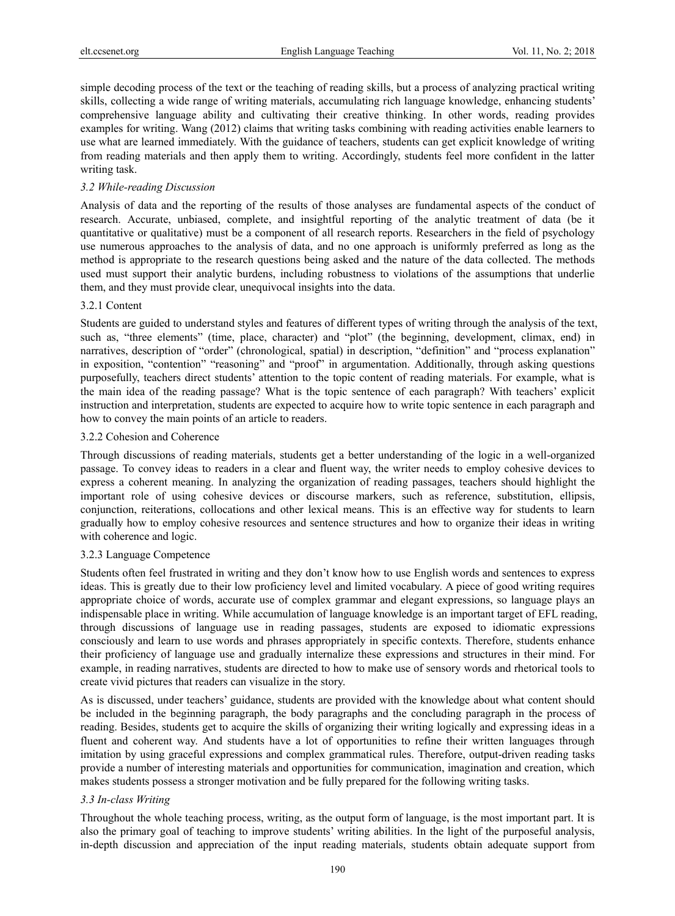simple decoding process of the text or the teaching of reading skills, but a process of analyzing practical writing skills, collecting a wide range of writing materials, accumulating rich language knowledge, enhancing students' comprehensive language ability and cultivating their creative thinking. In other words, reading provides examples for writing. Wang (2012) claims that writing tasks combining with reading activities enable learners to use what are learned immediately. With the guidance of teachers, students can get explicit knowledge of writing from reading materials and then apply them to writing. Accordingly, students feel more confident in the latter writing task.

## *3.2 While-reading Discussion*

Analysis of data and the reporting of the results of those analyses are fundamental aspects of the conduct of research. Accurate, unbiased, complete, and insightful reporting of the analytic treatment of data (be it quantitative or qualitative) must be a component of all research reports. Researchers in the field of psychology use numerous approaches to the analysis of data, and no one approach is uniformly preferred as long as the method is appropriate to the research questions being asked and the nature of the data collected. The methods used must support their analytic burdens, including robustness to violations of the assumptions that underlie them, and they must provide clear, unequivocal insights into the data.

## 3.2.1 Content

Students are guided to understand styles and features of different types of writing through the analysis of the text, such as, "three elements" (time, place, character) and "plot" (the beginning, development, climax, end) in narratives, description of "order" (chronological, spatial) in description, "definition" and "process explanation" in exposition, "contention" "reasoning" and "proof" in argumentation. Additionally, through asking questions purposefully, teachers direct students' attention to the topic content of reading materials. For example, what is the main idea of the reading passage? What is the topic sentence of each paragraph? With teachers' explicit instruction and interpretation, students are expected to acquire how to write topic sentence in each paragraph and how to convey the main points of an article to readers.

### 3.2.2 Cohesion and Coherence

Through discussions of reading materials, students get a better understanding of the logic in a well-organized passage. To convey ideas to readers in a clear and fluent way, the writer needs to employ cohesive devices to express a coherent meaning. In analyzing the organization of reading passages, teachers should highlight the important role of using cohesive devices or discourse markers, such as reference, substitution, ellipsis, conjunction, reiterations, collocations and other lexical means. This is an effective way for students to learn gradually how to employ cohesive resources and sentence structures and how to organize their ideas in writing with coherence and logic.

### 3.2.3 Language Competence

Students often feel frustrated in writing and they don't know how to use English words and sentences to express ideas. This is greatly due to their low proficiency level and limited vocabulary. A piece of good writing requires appropriate choice of words, accurate use of complex grammar and elegant expressions, so language plays an indispensable place in writing. While accumulation of language knowledge is an important target of EFL reading, through discussions of language use in reading passages, students are exposed to idiomatic expressions consciously and learn to use words and phrases appropriately in specific contexts. Therefore, students enhance their proficiency of language use and gradually internalize these expressions and structures in their mind. For example, in reading narratives, students are directed to how to make use of sensory words and rhetorical tools to create vivid pictures that readers can visualize in the story.

As is discussed, under teachers' guidance, students are provided with the knowledge about what content should be included in the beginning paragraph, the body paragraphs and the concluding paragraph in the process of reading. Besides, students get to acquire the skills of organizing their writing logically and expressing ideas in a fluent and coherent way. And students have a lot of opportunities to refine their written languages through imitation by using graceful expressions and complex grammatical rules. Therefore, output-driven reading tasks provide a number of interesting materials and opportunities for communication, imagination and creation, which makes students possess a stronger motivation and be fully prepared for the following writing tasks.

### *3.3 In-class Writing*

Throughout the whole teaching process, writing, as the output form of language, is the most important part. It is also the primary goal of teaching to improve students' writing abilities. In the light of the purposeful analysis, in-depth discussion and appreciation of the input reading materials, students obtain adequate support from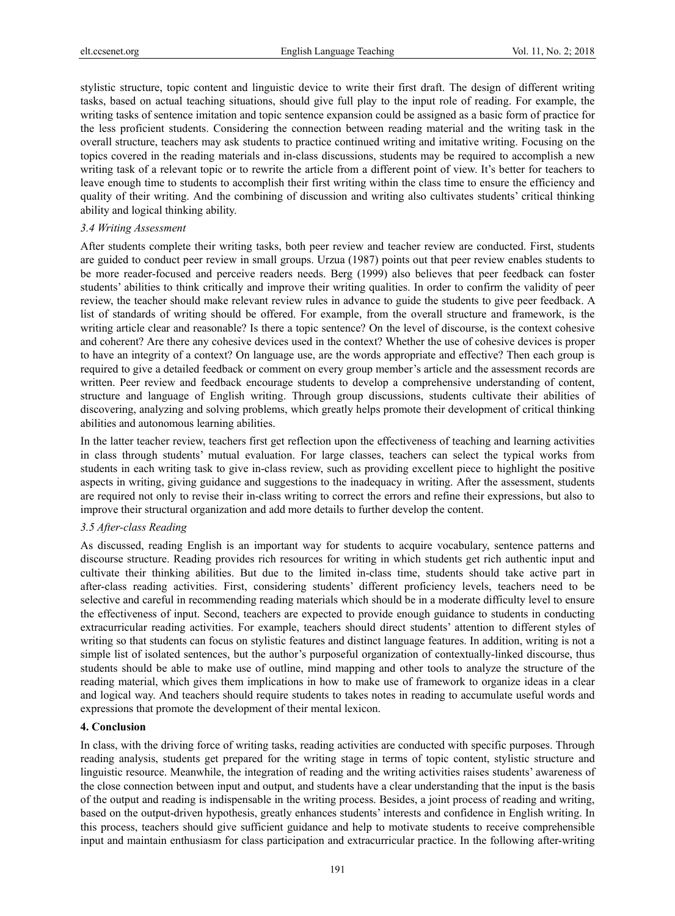stylistic structure, topic content and linguistic device to write their first draft. The design of different writing tasks, based on actual teaching situations, should give full play to the input role of reading. For example, the writing tasks of sentence imitation and topic sentence expansion could be assigned as a basic form of practice for the less proficient students. Considering the connection between reading material and the writing task in the overall structure, teachers may ask students to practice continued writing and imitative writing. Focusing on the topics covered in the reading materials and in-class discussions, students may be required to accomplish a new writing task of a relevant topic or to rewrite the article from a different point of view. It's better for teachers to leave enough time to students to accomplish their first writing within the class time to ensure the efficiency and quality of their writing. And the combining of discussion and writing also cultivates students' critical thinking ability and logical thinking ability.

#### *3.4 Writing Assessment*

After students complete their writing tasks, both peer review and teacher review are conducted. First, students are guided to conduct peer review in small groups. Urzua (1987) points out that peer review enables students to be more reader-focused and perceive readers needs. Berg (1999) also believes that peer feedback can foster students' abilities to think critically and improve their writing qualities. In order to confirm the validity of peer review, the teacher should make relevant review rules in advance to guide the students to give peer feedback. A list of standards of writing should be offered. For example, from the overall structure and framework, is the writing article clear and reasonable? Is there a topic sentence? On the level of discourse, is the context cohesive and coherent? Are there any cohesive devices used in the context? Whether the use of cohesive devices is proper to have an integrity of a context? On language use, are the words appropriate and effective? Then each group is required to give a detailed feedback or comment on every group member's article and the assessment records are written. Peer review and feedback encourage students to develop a comprehensive understanding of content, structure and language of English writing. Through group discussions, students cultivate their abilities of discovering, analyzing and solving problems, which greatly helps promote their development of critical thinking abilities and autonomous learning abilities.

In the latter teacher review, teachers first get reflection upon the effectiveness of teaching and learning activities in class through students' mutual evaluation. For large classes, teachers can select the typical works from students in each writing task to give in-class review, such as providing excellent piece to highlight the positive aspects in writing, giving guidance and suggestions to the inadequacy in writing. After the assessment, students are required not only to revise their in-class writing to correct the errors and refine their expressions, but also to improve their structural organization and add more details to further develop the content.

#### *3.5 After-class Reading*

As discussed, reading English is an important way for students to acquire vocabulary, sentence patterns and discourse structure. Reading provides rich resources for writing in which students get rich authentic input and cultivate their thinking abilities. But due to the limited in-class time, students should take active part in after-class reading activities. First, considering students' different proficiency levels, teachers need to be selective and careful in recommending reading materials which should be in a moderate difficulty level to ensure the effectiveness of input. Second, teachers are expected to provide enough guidance to students in conducting extracurricular reading activities. For example, teachers should direct students' attention to different styles of writing so that students can focus on stylistic features and distinct language features. In addition, writing is not a simple list of isolated sentences, but the author's purposeful organization of contextually-linked discourse, thus students should be able to make use of outline, mind mapping and other tools to analyze the structure of the reading material, which gives them implications in how to make use of framework to organize ideas in a clear and logical way. And teachers should require students to takes notes in reading to accumulate useful words and expressions that promote the development of their mental lexicon.

### **4. Conclusion**

In class, with the driving force of writing tasks, reading activities are conducted with specific purposes. Through reading analysis, students get prepared for the writing stage in terms of topic content, stylistic structure and linguistic resource. Meanwhile, the integration of reading and the writing activities raises students' awareness of the close connection between input and output, and students have a clear understanding that the input is the basis of the output and reading is indispensable in the writing process. Besides, a joint process of reading and writing, based on the output-driven hypothesis, greatly enhances students' interests and confidence in English writing. In this process, teachers should give sufficient guidance and help to motivate students to receive comprehensible input and maintain enthusiasm for class participation and extracurricular practice. In the following after-writing